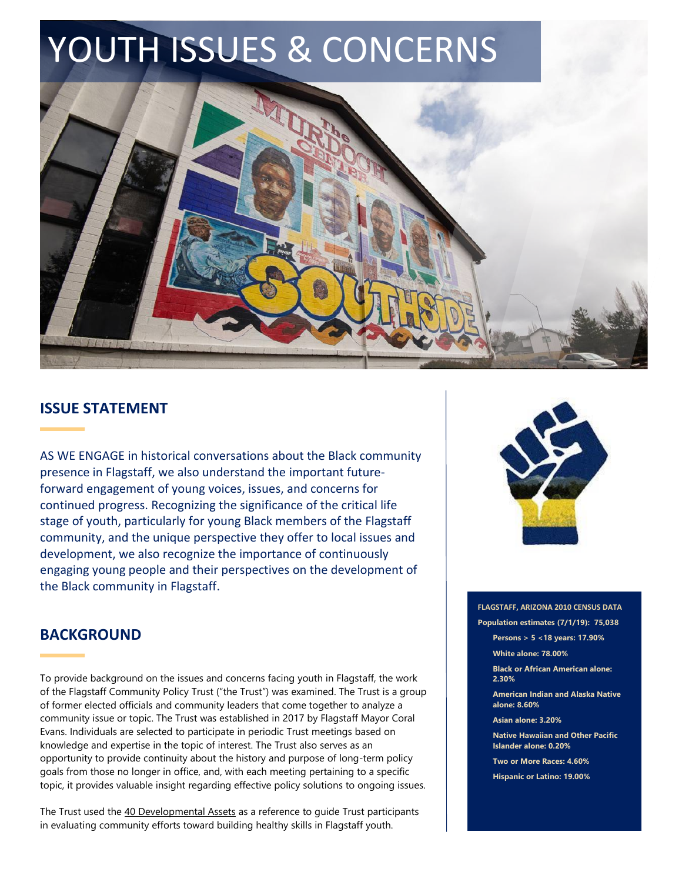# YOUTH ISSUES & CONCERNS



### **ISSUE STATEMENT**

AS WE ENGAGE in historical conversations about the Black community presence in Flagstaff, we also understand the important futureforward engagement of young voices, issues, and concerns for continued progress. Recognizing the significance of the critical life stage of youth, particularly for young Black members of the Flagstaff community, and the unique perspective they offer to local issues and development, we also recognize the importance of continuously engaging young people and their perspectives on the development of the Black community in Flagstaff.



# **BACKGROUND**

To provide background on the issues and concerns facing youth in Flagstaff, the work of the Flagstaff Community Policy Trust ("the Trust") was examined. The Trust is a group of former elected officials and community leaders that come together to analyze a community issue or topic. The Trust was established in 2017 by Flagstaff Mayor Coral Evans. Individuals are selected to participate in periodic Trust meetings based on knowledge and expertise in the topic of interest. The Trust also serves as an opportunity to provide continuity about the history and purpose of long-term policy goals from those no longer in office, and, with each meeting pertaining to a specific topic, it provides valuable insight regarding effective policy solutions to ongoing issues.

The Trust used the 40 Developmental Assets as a reference to guide Trust participants in evaluating community efforts toward building healthy skills in Flagstaff youth.

**Black or African American alone: 2.30% American Indian and Alaska Native** 

**FLAGSTAFF, ARIZONA 2010 CENSUS DATA Population estimates (7/1/19): 75,038 Persons > 5 <18 years: 17.90%**

**Asian alone: 3.20%**

**alone: 8.60%**

**White alone: 78.00%**

**Native Hawaiian and Other Pacific Islander alone: 0.20%**

**Two or More Races: 4.60%**

**Hispanic or Latino: 19.00%**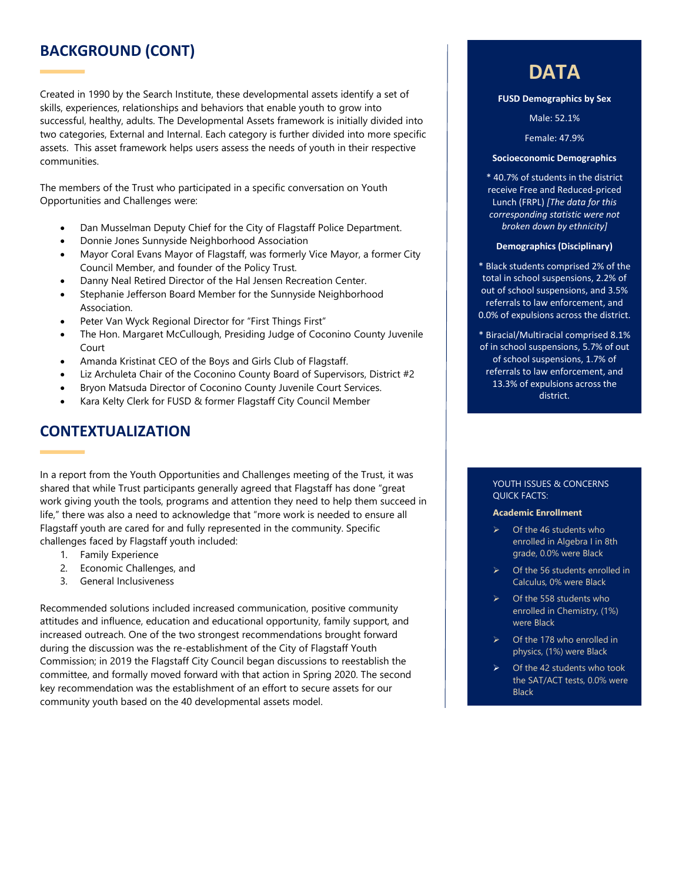# **BACKGROUND (CONT)**

Created in 1990 by the Search Institute, these developmental assets identify a set of skills, experiences, relationships and behaviors that enable youth to grow into successful, healthy, adults. The Developmental Assets framework is initially divided into two categories, External and Internal. Each category is further divided into more specific assets. This asset framework helps users assess the needs of youth in their respective communities.

The members of the Trust who participated in a specific conversation on Youth Opportunities and Challenges were:

- Dan Musselman Deputy Chief for the City of Flagstaff Police Department.
- Donnie Jones Sunnyside Neighborhood Association
- Mayor Coral Evans Mayor of Flagstaff, was formerly Vice Mayor, a former City Council Member, and founder of the Policy Trust.
- Danny Neal Retired Director of the Hal Jensen Recreation Center.
- Stephanie Jefferson Board Member for the Sunnyside Neighborhood Association.
- Peter Van Wyck Regional Director for "First Things First"
- The Hon. Margaret McCullough, Presiding Judge of Coconino County Juvenile Court
- Amanda Kristinat CEO of the Boys and Girls Club of Flagstaff.
- Liz Archuleta Chair of the Coconino County Board of Supervisors, District #2
- Bryon Matsuda Director of Coconino County Juvenile Court Services.
- Kara Kelty Clerk for FUSD & former Flagstaff City Council Member

## **CONTEXTUALIZATION**

In a report from the Youth Opportunities and Challenges meeting of the Trust, it was shared that while Trust participants generally agreed that Flagstaff has done "great work giving youth the tools, programs and attention they need to help them succeed in life," there was also a need to acknowledge that "more work is needed to ensure all Flagstaff youth are cared for and fully represented in the community. Specific challenges faced by Flagstaff youth included:

- 1. Family Experience
- 2. Economic Challenges, and
- 3. General Inclusiveness

Recommended solutions included increased communication, positive community attitudes and influence, education and educational opportunity, family support, and increased outreach. One of the two strongest recommendations brought forward during the discussion was the re-establishment of the City of Flagstaff Youth Commission; in 2019 the Flagstaff City Council began discussions to reestablish the committee, and formally moved forward with that action in Spring 2020. The second key recommendation was the establishment of an effort to secure assets for our community youth based on the 40 developmental assets model.

# **DATA**

**FUSD Demographics by Sex**

Male: 52.1%

Female: 47.9%

### **Socioeconomic Demographics**

\* 40.7% of students in the district receive Free and Reduced-priced Lunch (FRPL) *[The data for this corresponding statistic were not broken down by ethnicity]*

### **Demographics (Disciplinary)**

\* Black students comprised 2% of the total in school suspensions, 2.2% of out of school suspensions, and 3.5% referrals to law enforcement, and 0.0% of expulsions across the district.

\* Biracial/Multiracial comprised 8.1% of in school suspensions, 5.7% of out of school suspensions, 1.7% of referrals to law enforcement, and 13.3% of expulsions across the district.

### YOUTH ISSUES & CONCERNS QUICK FACTS:

**Academic Enrollment**

- ➢ Of the 46 students who enrolled in Algebra I in 8th grade, 0.0% were Black
- Of the 56 students enrolled in Calculus, 0% were Black
- ➢ Of the 558 students who enrolled in Chemistry, (1%) were Black
- ➢ Of the 178 who enrolled in physics, (1%) were Black
- ➢ Of the 42 students who took the SAT/ACT tests, 0.0% were Black